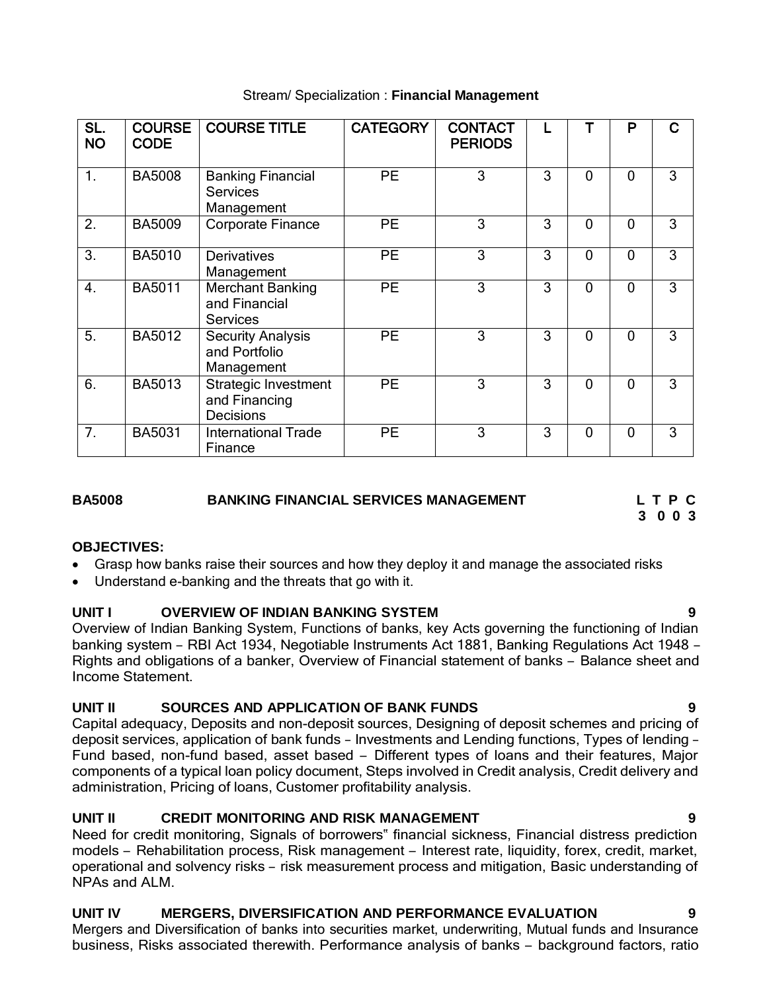| SL.<br><b>NO</b> | <b>COURSE</b><br><b>CODE</b> | <b>COURSE TITLE</b>                                       | <b>CATEGORY</b> | <b>CONTACT</b><br><b>PERIODS</b> |   |          | P | င |
|------------------|------------------------------|-----------------------------------------------------------|-----------------|----------------------------------|---|----------|---|---|
| 1.               | <b>BA5008</b>                | <b>Banking Financial</b><br><b>Services</b><br>Management | <b>PE</b>       | 3                                | 3 | 0        | 0 | 3 |
| 2.               | <b>BA5009</b>                | <b>Corporate Finance</b>                                  | <b>PE</b>       | 3                                | 3 | 0        | 0 | 3 |
| 3.               | <b>BA5010</b>                | <b>Derivatives</b><br>Management                          | <b>PE</b>       | 3                                | 3 | 0        | 0 | 3 |
| $\overline{4}$ . | <b>BA5011</b>                | <b>Merchant Banking</b><br>and Financial<br>Services      | <b>PE</b>       | 3                                | 3 | 0        | 0 | 3 |
| 5.               | <b>BA5012</b>                | <b>Security Analysis</b><br>and Portfolio<br>Management   | <b>PE</b>       | 3                                | 3 | $\Omega$ | 0 | 3 |
| 6.               | <b>BA5013</b>                | Strategic Investment<br>and Financing<br><b>Decisions</b> | <b>PE</b>       | 3                                | 3 | 0        | 0 | 3 |
| 7.               | <b>BA5031</b>                | <b>International Trade</b><br>Finance                     | <b>PE</b>       | 3                                | 3 | 0        | 0 | 3 |

## Stream/ Specialization : **Financial Management**

## **BA5008 BANKING FINANCIAL SERVICES MANAGEMENT L T P C**

**3 0 0 3**

# **OBJECTIVES:**

- Grasp how banks raise their sources and how they deploy it and manage the associated risks
- Understand e-banking and the threats that go with it.

# **UNIT I OVERVIEW OF INDIAN BANKING SYSTEM 9**

Overview of Indian Banking System, Functions of banks, key Acts governing the functioning of Indian banking system – RBI Act 1934, Negotiable Instruments Act 1881, Banking Regulations Act 1948 – Rights and obligations of a banker, Overview of Financial statement of banks – Balance sheet and Income Statement.

# **UNIT II SOURCES AND APPLICATION OF BANK FUNDS 9**

Capital adequacy, Deposits and non-deposit sources, Designing of deposit schemes and pricing of deposit services, application of bank funds – Investments and Lending functions, Types of lending – Fund based, non-fund based, asset based – Different types of loans and their features, Major components of a typical loan policy document, Steps involved in Credit analysis, Credit delivery and administration, Pricing of loans, Customer profitability analysis.

# **UNIT II CREDIT MONITORING AND RISK MANAGEMENT 9**

Need for credit monitoring, Signals of borrowers" financial sickness, Financial distress prediction models – Rehabilitation process, Risk management – Interest rate, liquidity, forex, credit, market, operational and solvency risks – risk measurement process and mitigation, Basic understanding of NPAs and ALM.

# **UNIT IV MERGERS, DIVERSIFICATION AND PERFORMANCE EVALUATION 9**

Mergers and Diversification of banks into securities market, underwriting, Mutual funds and Insurance business, Risks associated therewith. Performance analysis of banks – background factors, ratio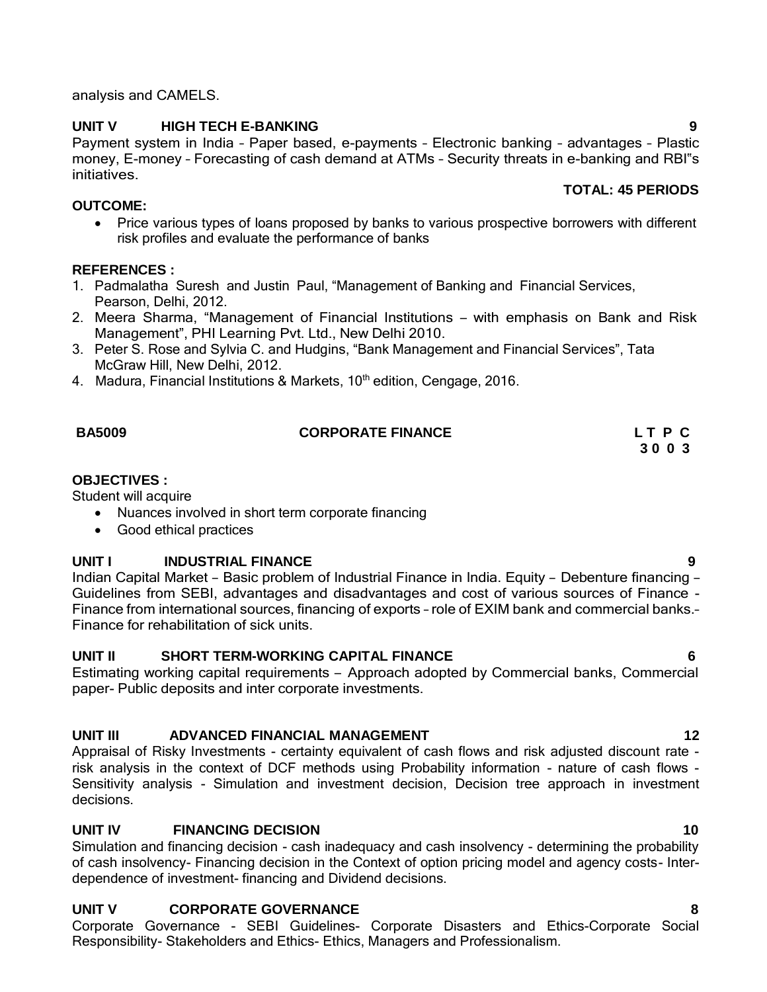Appraisal of Risky Investments - certainty equivalent of cash flows and risk adjusted discount rate risk analysis in the context of DCF methods using Probability information - nature of cash flows - Sensitivity analysis - Simulation and investment decision, Decision tree approach in investment decisions.

### **UNIT IV FINANCING DECISION 10**

Simulation and financing decision - cash inadequacy and cash insolvency - determining the probability of cash insolvency- Financing decision in the Context of option pricing model and agency costs- Interdependence of investment- financing and Dividend decisions.

### **UNIT V CORPORATE GOVERNANCE 8**

Corporate Governance - SEBI Guidelines- Corporate Disasters and Ethics-Corporate Social Responsibility- Stakeholders and Ethics- Ethics, Managers and Professionalism.

# analysis and CAMELS.

Payment system in India – Paper based, e-payments – Electronic banking – advantages – Plastic money, E-money – Forecasting of cash demand at ATMs – Security threats in e-banking and RBI"s initiatives.

**UNIT V HIGH TECH E-BANKING 9**

### **OUTCOME:**

• Price various types of loans proposed by banks to various prospective borrowers with different risk profiles and evaluate the performance of banks

### **REFERENCES :**

- 1. Padmalatha Suresh and Justin Paul, "Management of Banking and Financial Services, Pearson, Delhi, 2012.
- 2. Meera Sharma, "Management of Financial Institutions with emphasis on Bank and Risk Management", PHI Learning Pvt. Ltd., New Delhi 2010.
- 3. Peter S. Rose and Sylvia C. and Hudgins, "Bank Management and Financial Services", Tata McGraw Hill, New Delhi, 2012.
- 4. Madura, Financial Institutions & Markets, 10<sup>th</sup> edition, Cengage, 2016.

| <b>BA5009</b> | <b>CORPORATE FINANCE</b> | LTPC                                   |
|---------------|--------------------------|----------------------------------------|
|               |                          | $\begin{array}{c} \bullet \end{array}$ |

### **OBJECTIVES :**

Student will acquire

- Nuances involved in short term corporate financing
- Good ethical practices

### **UNIT I INDUSTRIAL FINANCE 9**

Indian Capital Market – Basic problem of Industrial Finance in India. Equity – Debenture financing – Guidelines from SEBI, advantages and disadvantages and cost of various sources of Finance - Finance from international sources, financing of exports – role of EXIM bank and commercial banks.– Finance for rehabilitation of sick units.

# **UNIT II SHORT TERM-WORKING CAPITAL FINANCE 6**

Estimating working capital requirements – Approach adopted by Commercial banks, Commercial paper- Public deposits and inter corporate investments.

# **UNIT III ADVANCED FINANCIAL MANAGEMENT 12**

# **3 0 0 3**

**TOTAL: 45 PERIODS**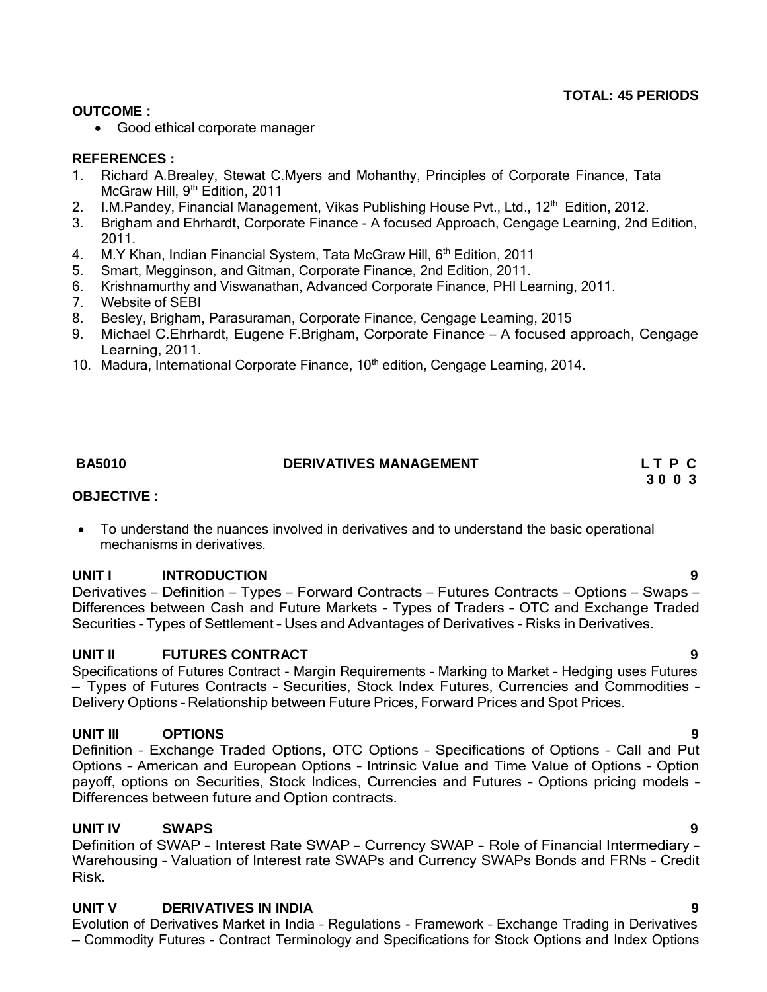# **TOTAL: 45 PERIODS**

### **OUTCOME :**

Good ethical corporate manager

# **REFERENCES :**

- 1. Richard A.Brealey, Stewat C.Myers and Mohanthy, Principles of Corporate Finance, Tata McGraw Hill, 9<sup>th</sup> Edition, 2011
- 2. I.M. Pandey, Financial Management, Vikas Publishing House Pvt., Ltd., 12<sup>th</sup> Edition, 2012.
- 3. Brigham and Ehrhardt, Corporate Finance A focused Approach, Cengage Learning, 2nd Edition, 2011.
- 4. M.Y Khan, Indian Financial System, Tata McGraw Hill, 6<sup>th</sup> Edition, 2011
- 5. Smart, Megginson, and Gitman, Corporate Finance, 2nd Edition, 2011.
- 6. Krishnamurthy and Viswanathan, Advanced Corporate Finance, PHI Learning, 2011.
- 7. Website of SEBI
- 8. Besley, Brigham, Parasuraman, Corporate Finance, Cengage Learning, 2015
- 9. Michael C.Ehrhardt, Eugene F.Brigham, Corporate Finance <sup>A</sup> focused approach, Cengage Learning, 2011.
- 10. Madura, International Corporate Finance, 10<sup>th</sup> edition, Cengage Learning, 2014.

# **BA5010 DERIVATIVES MANAGEMENT L T P C 3 0 0 3**

### **OBJECTIVE :**

 To understand the nuances involved in derivatives and to understand the basic operational mechanisms in derivatives.

### **UNIT I INTRODUCTION 9**

Derivatives – Definition – Types – Forward Contracts – Futures Contracts – Options – Swaps – Differences between Cash and Future Markets – Types of Traders – OTC and Exchange Traded Securities – Types of Settlement – Uses and Advantages of Derivatives – Risks in Derivatives.

### **UNIT II FUTURES CONTRACT 9**

Specifications of Futures Contract - Margin Requirements – Marking to Market – Hedging uses Futures – Types of Futures Contracts – Securities, Stock Index Futures, Currencies and Commodities – Delivery Options – Relationship between Future Prices, Forward Prices and Spot Prices.

### **UNIT III OPTIONS 9**

Definition – Exchange Traded Options, OTC Options – Specifications of Options – Call and Put Options – American and European Options – Intrinsic Value and Time Value of Options – Option payoff, options on Securities, Stock Indices, Currencies and Futures – Options pricing models – Differences between future and Option contracts.

### **UNIT IV SWAPS 9**

Definition of SWAP – Interest Rate SWAP – Currency SWAP – Role of Financial Intermediary – Warehousing – Valuation of Interest rate SWAPs and Currency SWAPs Bonds and FRNs – Credit Risk.

### **UNIT V DERIVATIVES IN INDIA 9**

Evolution of Derivatives Market in India – Regulations - Framework – Exchange Trading in Derivatives – Commodity Futures – Contract Terminology and Specifications for Stock Options and Index Options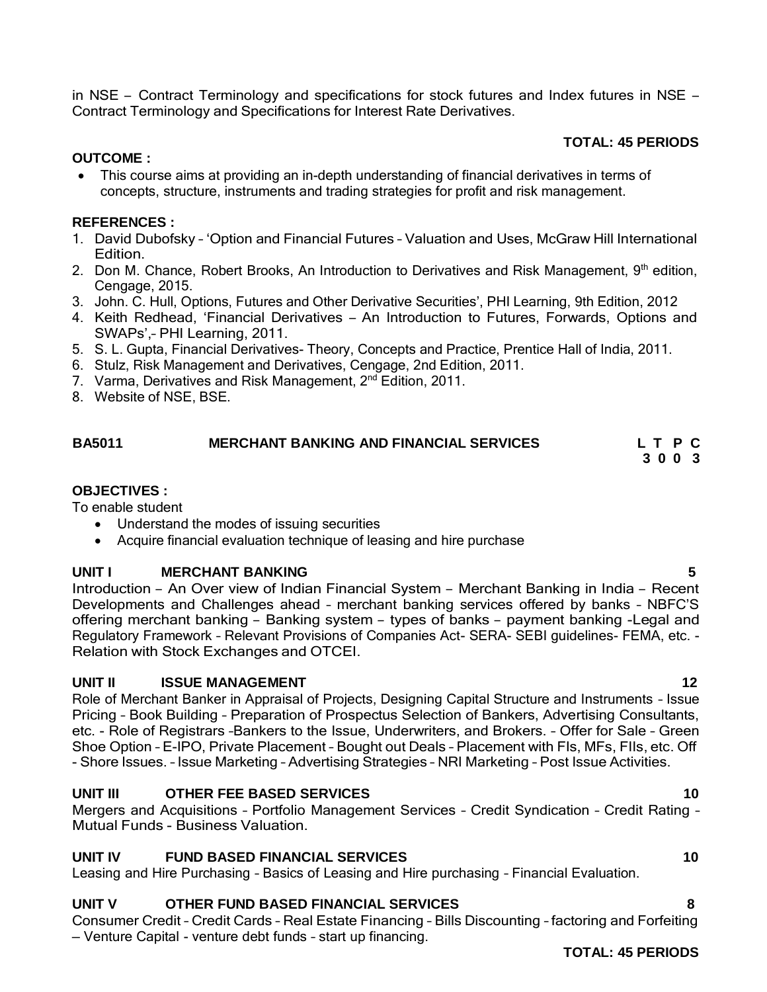**TOTAL: 45 PERIODS**

in NSE – Contract Terminology and specifications for stock futures and Index futures in NSE –

### **OUTCOME :**

 This course aims at providing an in-depth understanding of financial derivatives in terms of concepts, structure, instruments and trading strategies for profit and risk management.

# **REFERENCES :**

- 1. David Dubofsky 'Option and Financial Futures Valuation and Uses, McGraw Hill International Edition.
- 2. Don M. Chance, Robert Brooks, An Introduction to Derivatives and Risk Management, 9<sup>th</sup> edition, Cengage, 2015.
- 3. John. C. Hull, Options, Futures and Other Derivative Securities', PHI Learning, 9th Edition, 2012
- 4. Keith Redhead, 'Financial Derivatives An Introduction to Futures, Forwards, Options and SWAPs',– PHI Learning, 2011.
- 5. S. L. Gupta, Financial Derivatives- Theory, Concepts and Practice, Prentice Hall of India, 2011.
- 6. Stulz, Risk Management and Derivatives, Cengage, 2nd Edition, 2011.

Contract Terminology and Specifications for Interest Rate Derivatives.

- 7. Varma, Derivatives and Risk Management, 2<sup>nd</sup> Edition, 2011.
- 8. Website of NSE, BSE.

### <span id="page-3-0"></span>**BA5011 MERCHANT BANKING AND FINANCIAL SERVICES L T P C 3 0 0 3**

# **OBJECTIVES :**

To enable student

- Understand the modes of issuing securities
- Acquire financial evaluation technique of leasing and hire purchase

# **UNIT I MERCHANT BANKING 5**

Introduction – An Over view of Indian Financial System – Merchant Banking in India – Recent Developments and Challenges ahead – merchant banking services offered by banks – NBFC'S offering merchant banking – Banking system – types of banks – payment banking -Legal and Regulatory Framework – Relevant Provisions of Companies Act- SERA- SEBI guidelines- FEMA, etc. - Relation with Stock Exchanges and OTCEI.

# **UNIT II ISSUE MANAGEMENT 12**

Role of Merchant Banker in Appraisal of Projects, Designing Capital Structure and Instruments – Issue Pricing – Book Building – Preparation of Prospectus Selection of Bankers, Advertising Consultants, etc. - Role of Registrars –Bankers to the Issue, Underwriters, and Brokers. – Offer for Sale – Green Shoe Option – E-IPO, Private Placement – Bought out Deals – Placement with FIs, MFs, FIIs, etc. Off - Shore Issues. – Issue Marketing – Advertising Strategies – NRI Marketing – Post Issue Activities.

# **UNIT III OTHER FEE BASED SERVICES 10**

Mergers and Acquisitions – Portfolio Management Services – Credit Syndication – Credit Rating – Mutual Funds - Business Valuation.

# **UNIT IV FUND BASED FINANCIAL SERVICES 10**

Leasing and Hire Purchasing – Basics of Leasing and Hire purchasing – Financial Evaluation.

# **UNIT V OTHER FUND BASED FINANCIAL SERVICES 8**

Consumer Credit – Credit Cards – Real Estate Financing – Bills Discounting – factoring and Forfeiting – Venture Capital - venture debt funds – start up financing.

### **TOTAL: 45 PERIODS**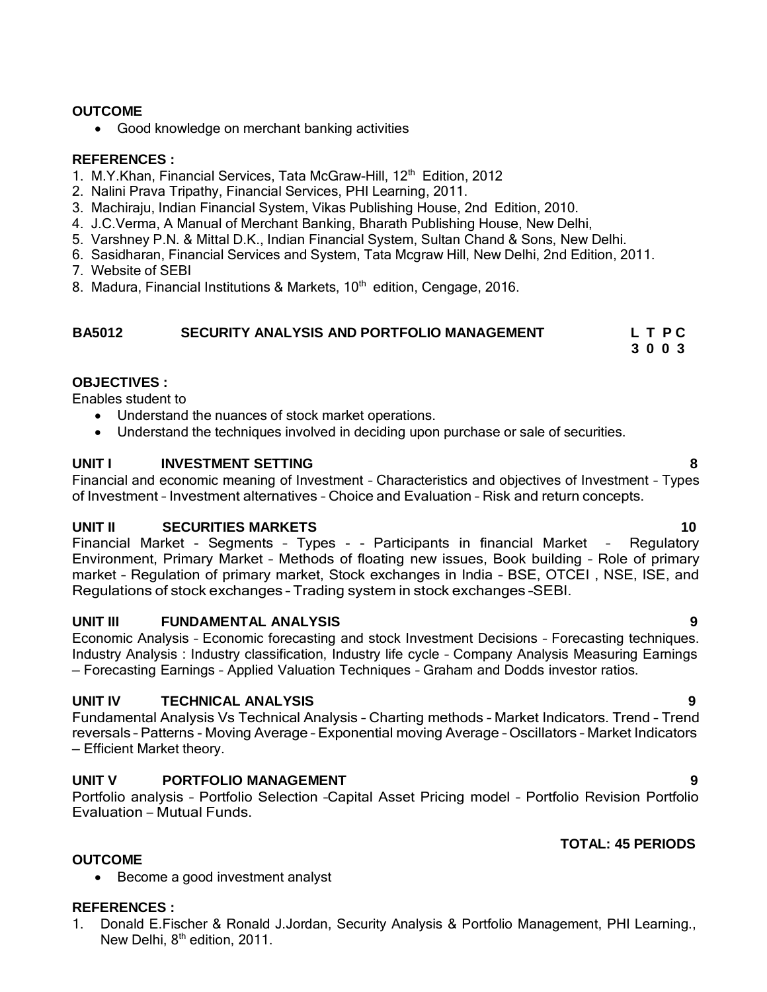### **OUTCOME**

• Good knowledge on merchant banking activities

### **REFERENCES :**

- 1. M.Y.Khan, Financial Services, Tata McGraw-Hill, 12<sup>th</sup> Edition, 2012
- 2. Nalini Prava Tripathy, Financial Services, PHI Learning, 2011.
- 3. Machiraju, Indian Financial System, Vikas Publishing House, 2nd Edition, 2010.
- 4. J.C.Verma, A Manual of Merchant Banking, Bharath Publishing House, New Delhi,
- 5. Varshney P.N. & Mittal D.K., Indian Financial System, Sultan Chand & Sons, New Delhi.
- 6. Sasidharan, Financial Services and System, Tata Mcgraw Hill, New Delhi, 2nd Edition, 2011.
- 7. Website of SEBI
- 8. Madura, Financial Institutions & Markets, 10<sup>th</sup> edition, Cengage, 2016.

# **BA5012 SECURITY ANALYSIS AND PORTFOLIO MANAGEMENT L T P C**

### **3 0 0 3**

# **OBJECTIVES :**

Enables student to

- Understand the nuances of stock market operations.
- Understand the techniques involved in deciding upon purchase or sale of securities.

### **UNIT I INVESTMENT SETTING 8**

Financial and economic meaning of Investment – Characteristics and objectives of Investment – Types of Investment – Investment alternatives – Choice and Evaluation – Risk and return concepts.

### **UNIT II SECURITIES MARKETS 10**

Financial Market - Segments – Types - - Participants in financial Market – Regulatory Environment, Primary Market – Methods of floating new issues, Book building – Role of primary market – Regulation of primary market, Stock exchanges in India – BSE, OTCEI , NSE, ISE, and Regulations of stock exchanges – Trading system in stock exchanges –SEBI.

### **UNIT III FUNDAMENTAL ANALYSIS 9**

Economic Analysis – Economic forecasting and stock Investment Decisions – Forecasting techniques. Industry Analysis : Industry classification, Industry life cycle – Company Analysis Measuring Earnings – Forecasting Earnings – Applied Valuation Techniques – Graham and Dodds investor ratios.

### **UNIT IV TECHNICAL ANALYSIS 9**

Fundamental Analysis Vs Technical Analysis – Charting methods – Market Indicators. Trend – Trend reversals – Patterns - Moving Average – Exponential moving Average – Oscillators – Market Indicators – Efficient Market theory.

### **UNIT V PORTFOLIO MANAGEMENT 9**

Portfolio analysis – Portfolio Selection –Capital Asset Pricing model – Portfolio Revision Portfolio Evaluation – Mutual Funds.

# **TOTAL: 45 PERIODS**

• Become a good investment analyst

### **REFERENCES :**

**OUTCOME**

1. Donald E.Fischer & Ronald J.Jordan, Security Analysis & Portfolio Management, PHI Learning., New Delhi, 8<sup>th</sup> edition, 2011.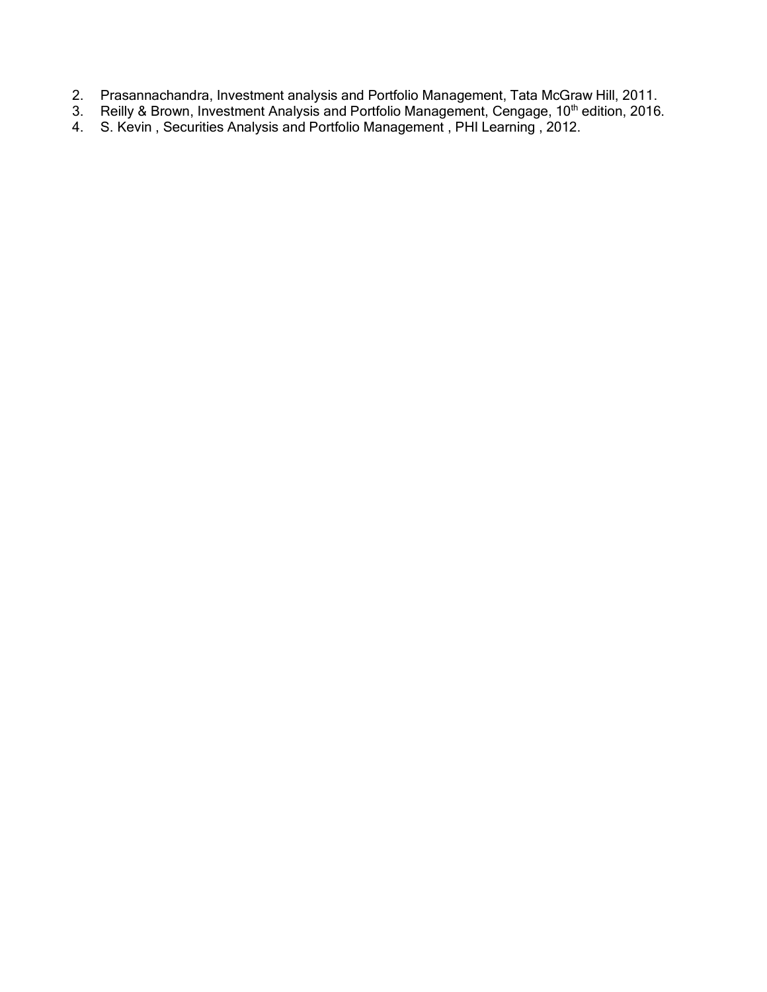- 2. Prasannachandra, Investment analysis and Portfolio Management, Tata McGraw Hill, 2011.
- 3. Reilly & Brown, Investment Analysis and Portfolio Management, Cengage, 10<sup>th</sup> edition, 2016.
- 4. S. Kevin , Securities Analysis and Portfolio Management , PHI Learning , 2012.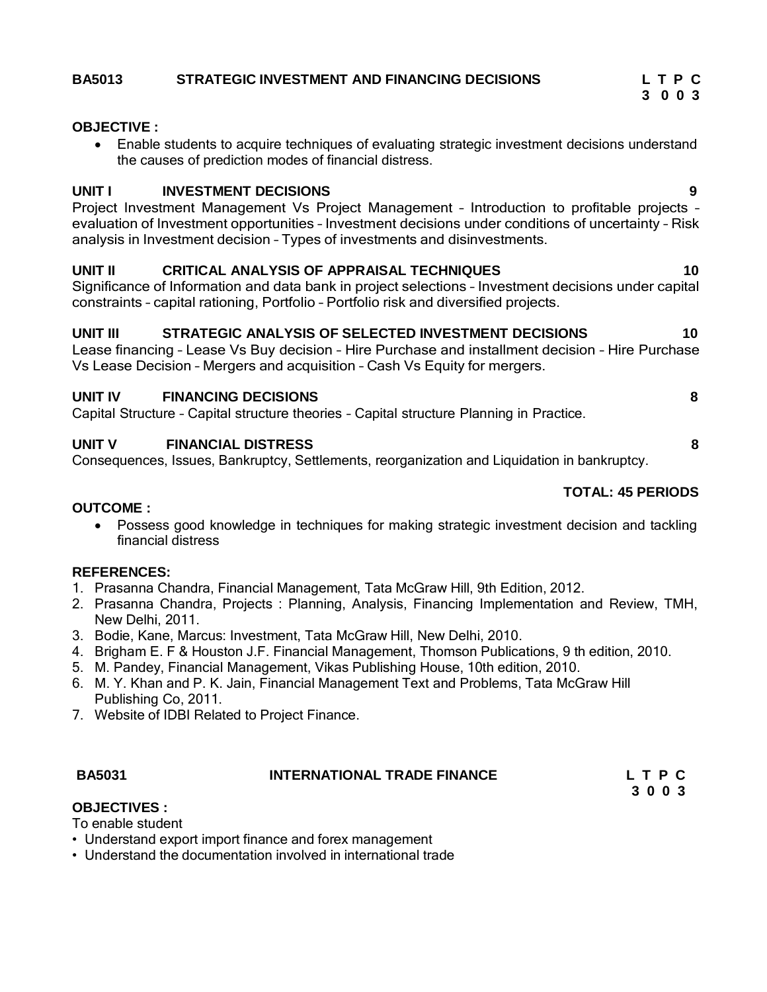### **BA5013 STRATEGIC INVESTMENT AND FINANCING DECISIONS L T P C**

### **OBJECTIVE :**

 Enable students to acquire techniques of evaluating strategic investment decisions understand the causes of prediction modes of financial distress.

### **UNIT I INVESTMENT DECISIONS 9**

Project Investment Management Vs Project Management – Introduction to profitable projects – evaluation of Investment opportunities – Investment decisions under conditions of uncertainty – Risk analysis in Investment decision – Types of investments and disinvestments.

### **UNIT II CRITICAL ANALYSIS OF APPRAISAL TECHNIQUES 10**

Significance of Information and data bank in project selections – Investment decisions under capital constraints – capital rationing, Portfolio – Portfolio risk and diversified projects.

### **UNIT III STRATEGIC ANALYSIS OF SELECTED INVESTMENT DECISIONS 10**

Lease financing – Lease Vs Buy decision – Hire Purchase and installment decision – Hire Purchase Vs Lease Decision – Mergers and acquisition – Cash Vs Equity for mergers.

### **UNIT IV FINANCING DECISIONS 8**

Capital Structure – Capital structure theories – Capital structure Planning in Practice.

### **UNIT V FINANCIAL DISTRESS 8**

Consequences, Issues, Bankruptcy, Settlements, reorganization and Liquidation in bankruptcy.

### **TOTAL: 45 PERIODS**

**3 0 0 3**

### **OUTCOME :**

 Possess good knowledge in techniques for making strategic investment decision and tackling financial distress

### **REFERENCES:**

- 1. Prasanna Chandra, Financial Management, Tata McGraw Hill, 9th Edition, 2012.
- 2. Prasanna Chandra, Projects : Planning, Analysis, Financing Implementation and Review, TMH, New Delhi, 2011.
- 3. Bodie, Kane, Marcus: Investment, Tata McGraw Hill, New Delhi, 2010.
- 4. Brigham E. F & Houston J.F. Financial Management, Thomson Publications, 9 th edition, 2010.
- 5. M. Pandey, Financial Management, Vikas Publishing House, 10th edition, 2010.
- 6. M. Y. Khan and P. K. Jain, Financial Management Text and Problems, Tata McGraw Hill Publishing Co, 2011.
- 7. Website of IDBI Related to Project Finance.

### **BA5031 INTERNATIONAL TRADE FINANCE L T P C**

**3 0 0 3**

### **OBJECTIVES :**

To enable student

- Understand export import finance and forex management
- Understand the documentation involved in international trade